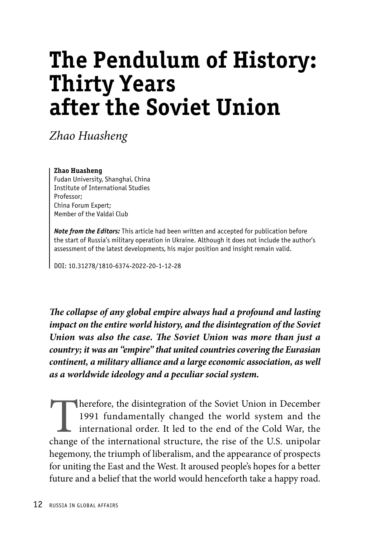# **The Pendulum of History: Thirty Years after the Soviet Union**

*Zhao Huasheng*

#### **Zhao Huasheng**

Fudan University, Shanghai, China Institute of International Studies Professor; China Forum Expert; Member of the Valdai Club

*Note from the Editors:* This article had been written and accepted for publication before the start of Russia's military operation in Ukraine. Although it does not include the author's assessment of the latest developments, his major position and insight remain valid.

DOI: 10.31278/1810-6374-2022-20-1-12-28

*The collapse of any global empire always had a profound and lasting impact on the entire world history, and the disintegration of the Soviet Union was also the case. The Soviet Union was more than just a country; it was an "empire" that united countries covering the Eurasian continent, a military alliance and a large economic association, as well as a worldwide ideology and a peculiar social system.* 

Therefore, the disintegration of the Soviet Union in December 1991 fundamentally changed the world system and the international order. It led to the end of the Cold War, the change of the international structure, the rise of the U.S. unipolar hegemony, the triumph of liberalism, and the appearance of prospects for uniting the East and the West. It aroused people's hopes for a better future and a belief that the world would henceforth take a happy road.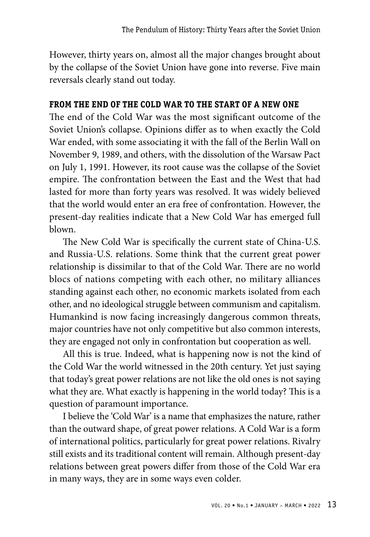However, thirty years on, almost all the major changes brought about by the collapse of the Soviet Union have gone into reverse. Five main reversals clearly stand out today.

# **FROM THE END OF THE COLD WAR TO THE START OF A NEW ONE**

The end of the Cold War was the most significant outcome of the Soviet Union's collapse. Opinions differ as to when exactly the Cold War ended, with some associating it with the fall of the Berlin Wall on November 9, 1989, and others, with the dissolution of the Warsaw Pact on July 1, 1991. However, its root cause was the collapse of the Soviet empire. The confrontation between the East and the West that had lasted for more than forty years was resolved. It was widely believed that the world would enter an era free of confrontation. However, the present-day realities indicate that a New Cold War has emerged full blown.

The New Cold War is specifically the current state of China-U.S. and Russia-U.S. relations. Some think that the current great power relationship is dissimilar to that of the Cold War. There are no world blocs of nations competing with each other, no military alliances standing against each other, no economic markets isolated from each other, and no ideological struggle between communism and capitalism. Humankind is now facing increasingly dangerous common threats, major countries have not only competitive but also common interests, they are engaged not only in confrontation but cooperation as well.

All this is true. Indeed, what is happening now is not the kind of the Cold War the world witnessed in the 20th century. Yet just saying that today's great power relations are not like the old ones is not saying what they are. What exactly is happening in the world today? This is a question of paramount importance.

I believe the 'Cold War' is a name that emphasizes the nature, rather than the outward shape, of great power relations. A Cold War is a form of international politics, particularly for great power relations. Rivalry still exists and its traditional content will remain. Although present-day relations between great powers differ from those of the Cold War era in many ways, they are in some ways even colder.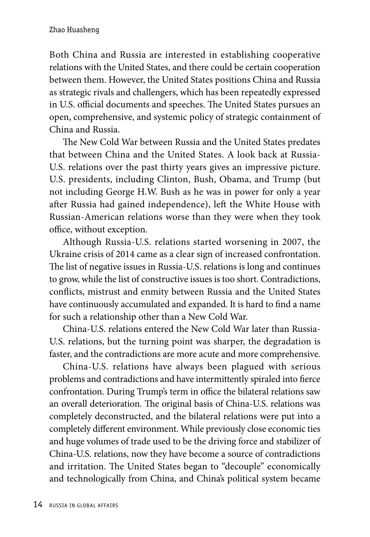Both China and Russia are interested in establishing cooperative relations with the United States, and there could be certain cooperation between them. However, the United States positions China and Russia as strategic rivals and challengers, which has been repeatedly expressed in U.S. official documents and speeches. The United States pursues an open, comprehensive, and systemic policy of strategic containment of China and Russia.

The New Cold War between Russia and the United States predates that between China and the United States. A look back at Russia-U.S. relations over the past thirty years gives an impressive picture. U.S. presidents, including Clinton, Bush, Obama, and Trump (but not including George H.W. Bush as he was in power for only a year after Russia had gained independence), left the White House with Russian-American relations worse than they were when they took office, without exception.

Although Russia-U.S. relations started worsening in 2007, the Ukraine crisis of 2014 came as a clear sign of increased confrontation. The list of negative issues in Russia-U.S. relations is long and continues to grow, while the list of constructive issues is too short. Contradictions, conflicts, mistrust and enmity between Russia and the United States have continuously accumulated and expanded. It is hard to find a name for such a relationship other than a New Cold War.

China-U.S. relations entered the New Cold War later than Russia-U.S. relations, but the turning point was sharper, the degradation is faster, and the contradictions are more acute and more comprehensive.

China-U.S. relations have always been plagued with serious problems and contradictions and have intermittently spiraled into fierce confrontation. During Trump's term in office the bilateral relations saw an overall deterioration. The original basis of China-U.S. relations was completely deconstructed, and the bilateral relations were put into a completely different environment. While previously close economic ties and huge volumes of trade used to be the driving force and stabilizer of China-U.S. relations, now they have become a source of contradictions and irritation. The United States began to "decouple" economically and technologically from China, and China's political system became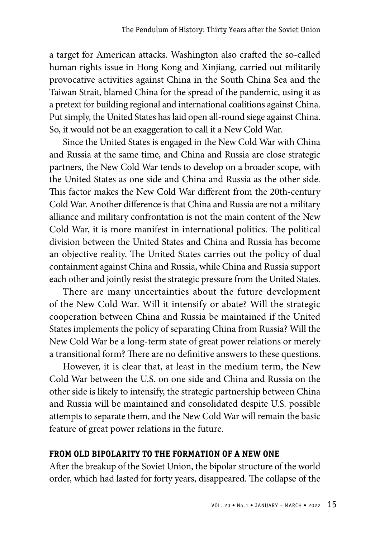a target for American attacks. Washington also crafted the so-called human rights issue in Hong Kong and Xinjiang, carried out militarily provocative activities against China in the South China Sea and the Taiwan Strait, blamed China for the spread of the pandemic, using it as a pretext for building regional and international coalitions against China. Put simply, the United States has laid open all-round siege against China. So, it would not be an exaggeration to call it a New Cold War.

Since the United States is engaged in the New Cold War with China and Russia at the same time, and China and Russia are close strategic partners, the New Cold War tends to develop on a broader scope, with the United States as one side and China and Russia as the other side. This factor makes the New Cold War different from the 20th-century Cold War. Another difference is that China and Russia are not a military alliance and military confrontation is not the main content of the New Cold War, it is more manifest in international politics. The political division between the United States and China and Russia has become an objective reality. The United States carries out the policy of dual containment against China and Russia, while China and Russia support each other and jointly resist the strategic pressure from the United States.

There are many uncertainties about the future development of the New Cold War. Will it intensify or abate? Will the strategic cooperation between China and Russia be maintained if the United States implements the policy of separating China from Russia? Will the New Cold War be a long-term state of great power relations or merely a transitional form? There are no definitive answers to these questions.

However, it is clear that, at least in the medium term, the New Cold War between the U.S. on one side and China and Russia on the other side is likely to intensify, the strategic partnership between China and Russia will be maintained and consolidated despite U.S. possible attempts to separate them, and the New Cold War will remain the basic feature of great power relations in the future.

### **FROM OLD BIPOLARITY TO THE FORMATION OF A NEW ONE**

After the breakup of the Soviet Union, the bipolar structure of the world order, which had lasted for forty years, disappeared. The collapse of the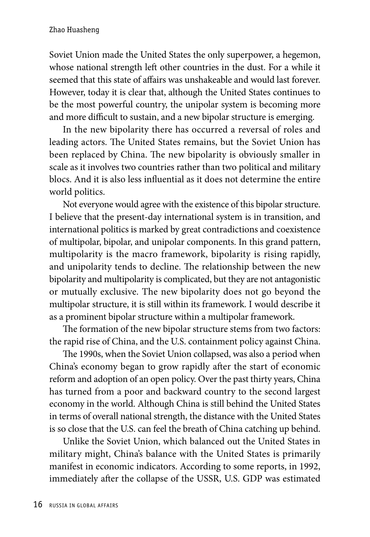Soviet Union made the United States the only superpower, a hegemon, whose national strength left other countries in the dust. For a while it seemed that this state of affairs was unshakeable and would last forever. However, today it is clear that, although the United States continues to be the most powerful country, the unipolar system is becoming more and more difficult to sustain, and a new bipolar structure is emerging.

In the new bipolarity there has occurred a reversal of roles and leading actors. The United States remains, but the Soviet Union has been replaced by China. The new bipolarity is obviously smaller in scale as it involves two countries rather than two political and military blocs. And it is also less influential as it does not determine the entire world politics.

Not everyone would agree with the existence of this bipolar structure. I believe that the present-day international system is in transition, and international politics is marked by great contradictions and coexistence of multipolar, bipolar, and unipolar components. In this grand pattern, multipolarity is the macro framework, bipolarity is rising rapidly, and unipolarity tends to decline. The relationship between the new bipolarity and multipolarity is complicated, but they are not antagonistic or mutually exclusive. The new bipolarity does not go beyond the multipolar structure, it is still within its framework. I would describe it as a prominent bipolar structure within a multipolar framework.

The formation of the new bipolar structure stems from two factors: the rapid rise of China, and the U.S. containment policy against China.

The 1990s, when the Soviet Union collapsed, was also a period when China's economy began to grow rapidly after the start of economic reform and adoption of an open policy. Over the past thirty years, China has turned from a poor and backward country to the second largest economy in the world. Although China is still behind the United States in terms of overall national strength, the distance with the United States is so close that the U.S. can feel the breath of China catching up behind.

Unlike the Soviet Union, which balanced out the United States in military might, China's balance with the United States is primarily manifest in economic indicators. According to some reports, in 1992, immediately after the collapse of the USSR, U.S. GDP was estimated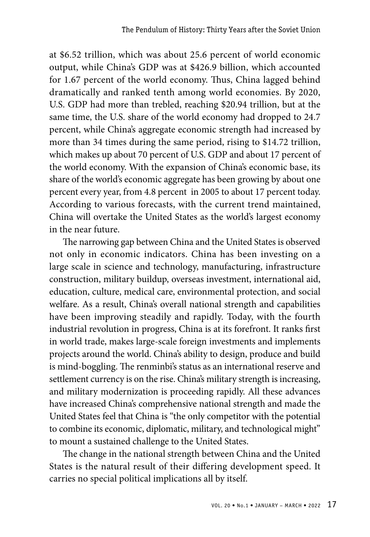at \$6.52 trillion, which was about 25.6 percent of world economic output, while China's GDP was at \$426.9 billion, which accounted for 1.67 percent of the world economy. Thus, China lagged behind dramatically and ranked tenth among world economies. By 2020, U.S. GDP had more than trebled, reaching \$20.94 trillion, but at the same time, the U.S. share of the world economy had dropped to 24.7 percent, while China's aggregate economic strength had increased by more than 34 times during the same period, rising to \$14.72 trillion, which makes up about 70 percent of U.S. GDP and about 17 percent of the world economy. With the expansion of China's economic base, its share of the world's economic aggregate has been growing by about one percent every year, from 4.8 percent in 2005 to about 17 percent today. According to various forecasts, with the current trend maintained, China will overtake the United States as the world's largest economy in the near future.

The narrowing gap between China and the United States is observed not only in economic indicators. China has been investing on a large scale in science and technology, manufacturing, infrastructure construction, military buildup, overseas investment, international aid, education, culture, medical care, environmental protection, and social welfare. As a result, China's overall national strength and capabilities have been improving steadily and rapidly. Today, with the fourth industrial revolution in progress, China is at its forefront. It ranks first in world trade, makes large-scale foreign investments and implements projects around the world. China's ability to design, produce and build is mind-boggling. The renminbi's status as an international reserve and settlement currency is on the rise. China's military strength is increasing, and military modernization is proceeding rapidly. All these advances have increased China's comprehensive national strength and made the United States feel that China is "the only competitor with the potential to combine its economic, diplomatic, military, and technological might" to mount a sustained challenge to the United States.

The change in the national strength between China and the United States is the natural result of their differing development speed. It carries no special political implications all by itself.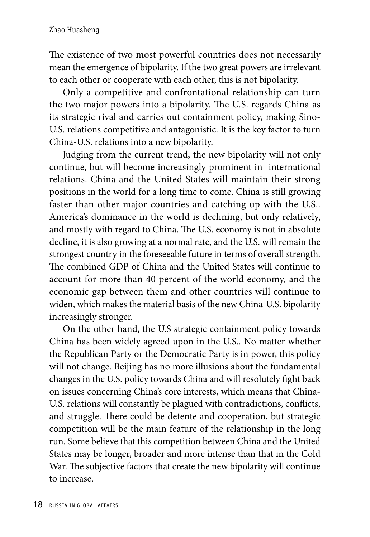The existence of two most powerful countries does not necessarily mean the emergence of bipolarity. If the two great powers are irrelevant to each other or cooperate with each other, this is not bipolarity.

Only a competitive and confrontational relationship can turn the two major powers into a bipolarity. The U.S. regards China as its strategic rival and carries out containment policy, making Sino-U.S. relations competitive and antagonistic. It is the key factor to turn China-U.S. relations into a new bipolarity.

Judging from the current trend, the new bipolarity will not only continue, but will become increasingly prominent in international relations. China and the United States will maintain their strong positions in the world for a long time to come. China is still growing faster than other major countries and catching up with the U.S.. America's dominance in the world is declining, but only relatively, and mostly with regard to China. The U.S. economy is not in absolute decline, it is also growing at a normal rate, and the U.S. will remain the strongest country in the foreseeable future in terms of overall strength. The combined GDP of China and the United States will continue to account for more than 40 percent of the world economy, and the economic gap between them and other countries will continue to widen, which makes the material basis of the new China-U.S. bipolarity increasingly stronger.

On the other hand, the U.S strategic containment policy towards China has been widely agreed upon in the U.S.. No matter whether the Republican Party or the Democratic Party is in power, this policy will not change. Beijing has no more illusions about the fundamental changes in the U.S. policy towards China and will resolutely fight back on issues concerning China's core interests, which means that China-U.S. relations will constantly be plagued with contradictions, conflicts, and struggle. There could be detente and cooperation, but strategic competition will be the main feature of the relationship in the long run. Some believe that this competition between China and the United States may be longer, broader and more intense than that in the Cold War. The subjective factors that create the new bipolarity will continue to increase.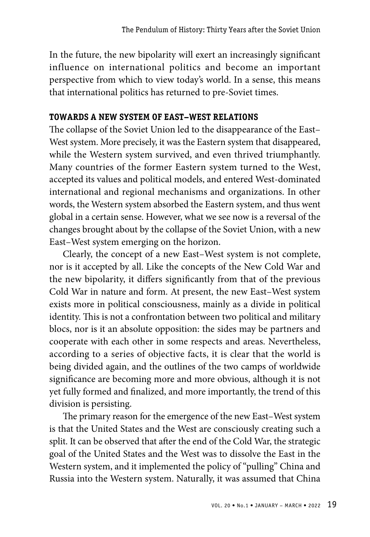In the future, the new bipolarity will exert an increasingly significant influence on international politics and become an important perspective from which to view today's world. In a sense, this means that international politics has returned to pre-Soviet times.

## **TOWARDS A NEW SYSTEM OF EAST–WEST RELATIONS**

The collapse of the Soviet Union led to the disappearance of the East– West system. More precisely, it was the Eastern system that disappeared, while the Western system survived, and even thrived triumphantly. Many countries of the former Eastern system turned to the West, accepted its values and political models, and entered West-dominated international and regional mechanisms and organizations. In other words, the Western system absorbed the Eastern system, and thus went global in a certain sense. However, what we see now is a reversal of the changes brought about by the collapse of the Soviet Union, with a new East–West system emerging on the horizon.

Clearly, the concept of a new East–West system is not complete, nor is it accepted by all. Like the concepts of the New Cold War and the new bipolarity, it differs significantly from that of the previous Cold War in nature and form. At present, the new East–West system exists more in political consciousness, mainly as a divide in political identity. This is not a confrontation between two political and military blocs, nor is it an absolute opposition: the sides may be partners and cooperate with each other in some respects and areas. Nevertheless, according to a series of objective facts, it is clear that the world is being divided again, and the outlines of the two camps of worldwide significance are becoming more and more obvious, although it is not yet fully formed and finalized, and more importantly, the trend of this division is persisting.

The primary reason for the emergence of the new East–West system is that the United States and the West are consciously creating such a split. It can be observed that after the end of the Cold War, the strategic goal of the United States and the West was to dissolve the East in the Western system, and it implemented the policy of "pulling" China and Russia into the Western system. Naturally, it was assumed that China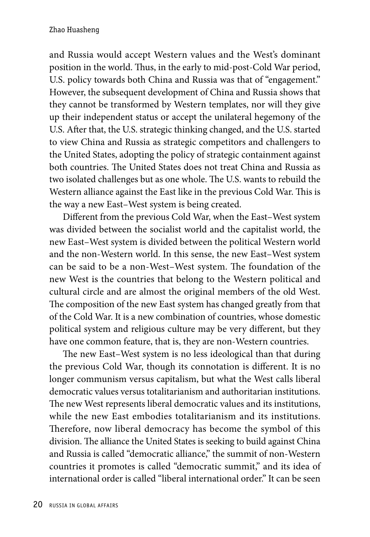and Russia would accept Western values and the West's dominant position in the world. Thus, in the early to mid-post-Cold War period, U.S. policy towards both China and Russia was that of "engagement." However, the subsequent development of China and Russia shows that they cannot be transformed by Western templates, nor will they give up their independent status or accept the unilateral hegemony of the U.S. After that, the U.S. strategic thinking changed, and the U.S. started to view China and Russia as strategic competitors and challengers to the United States, adopting the policy of strategic containment against both countries. The United States does not treat China and Russia as two isolated challenges but as one whole. The U.S. wants to rebuild the Western alliance against the East like in the previous Cold War. This is the way a new East–West system is being created.

Different from the previous Cold War, when the East–West system was divided between the socialist world and the capitalist world, the new East–West system is divided between the political Western world and the non-Western world. In this sense, the new East–West system can be said to be a non-West–West system. The foundation of the new West is the countries that belong to the Western political and cultural circle and are almost the original members of the old West. The composition of the new East system has changed greatly from that of the Cold War. It is a new combination of countries, whose domestic political system and religious culture may be very different, but they have one common feature, that is, they are non-Western countries.

The new East–West system is no less ideological than that during the previous Cold War, though its connotation is different. It is no longer communism versus capitalism, but what the West calls liberal democratic values versus totalitarianism and authoritarian institutions. The new West represents liberal democratic values and its institutions, while the new East embodies totalitarianism and its institutions. Therefore, now liberal democracy has become the symbol of this division. The alliance the United States is seeking to build against China and Russia is called "democratic alliance," the summit of non-Western countries it promotes is called "democratic summit," and its idea of international order is called "liberal international order." It can be seen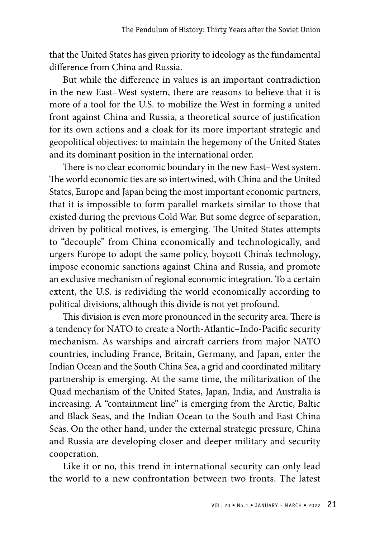that the United States has given priority to ideology as the fundamental difference from China and Russia.

But while the difference in values is an important contradiction in the new East–West system, there are reasons to believe that it is more of a tool for the U.S. to mobilize the West in forming a united front against China and Russia, a theoretical source of justification for its own actions and a cloak for its more important strategic and geopolitical objectives: to maintain the hegemony of the United States and its dominant position in the international order.

There is no clear economic boundary in the new East–West system. The world economic ties are so intertwined, with China and the United States, Europe and Japan being the most important economic partners, that it is impossible to form parallel markets similar to those that existed during the previous Cold War. But some degree of separation, driven by political motives, is emerging. The United States attempts to "decouple" from China economically and technologically, and urgers Europe to adopt the same policy, boycott China's technology, impose economic sanctions against China and Russia, and promote an exclusive mechanism of regional economic integration. To a certain extent, the U.S. is redividing the world economically according to political divisions, although this divide is not yet profound.

This division is even more pronounced in the security area. There is a tendency for NATO to create a North-Atlantic–Indo-Pacific security mechanism. As warships and aircraft carriers from major NATO countries, including France, Britain, Germany, and Japan, enter the Indian Ocean and the South China Sea, a grid and coordinated military partnership is emerging. At the same time, the militarization of the Quad mechanism of the United States, Japan, India, and Australia is increasing. A "containment line" is emerging from the Arctic, Baltic and Black Seas, and the Indian Ocean to the South and East China Seas. On the other hand, under the external strategic pressure, China and Russia are developing closer and deeper military and security cooperation.

Like it or no, this trend in international security can only lead the world to a new confrontation between two fronts. The latest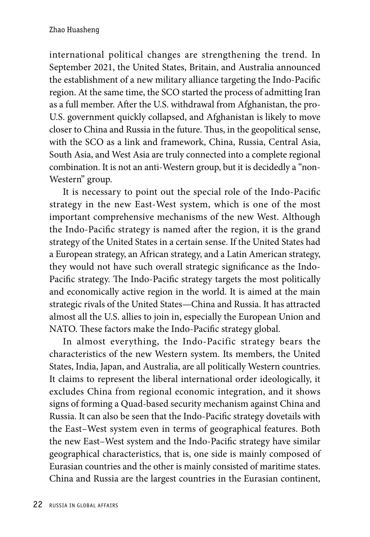international political changes are strengthening the trend. In September 2021, the United States, Britain, and Australia announced the establishment of a new military alliance targeting the Indo-Pacific region. At the same time, the SCO started the process of admitting Iran as a full member. After the U.S. withdrawal from Afghanistan, the pro-U.S. government quickly collapsed, and Afghanistan is likely to move closer to China and Russia in the future. Thus, in the geopolitical sense, with the SCO as a link and framework, China, Russia, Central Asia, South Asia, and West Asia are truly connected into a complete regional combination. It is not an anti-Western group, but it is decidedly a "non-Western" group.

It is necessary to point out the special role of the Indo-Pacific strategy in the new East-West system, which is one of the most important comprehensive mechanisms of the new West. Although the Indo-Pacific strategy is named after the region, it is the grand strategy of the United States in a certain sense. If the United States had a European strategy, an African strategy, and a Latin American strategy, they would not have such overall strategic significance as the Indo-Pacific strategy. The Indo-Pacific strategy targets the most politically and economically active region in the world. It is aimed at the main strategic rivals of the United States—China and Russia. It has attracted almost all the U.S. allies to join in, especially the European Union and NATO. These factors make the Indo-Pacific strategy global.

In almost everything, the Indo-Pacific strategy bears the characteristics of the new Western system. Its members, the United States, India, Japan, and Australia, are all politically Western countries. It claims to represent the liberal international order ideologically, it excludes China from regional economic integration, and it shows signs of forming a Quad-based security mechanism against China and Russia. It can also be seen that the Indo-Pacific strategy dovetails with the East–West system even in terms of geographical features. Both the new East–West system and the Indo-Pacific strategy have similar geographical characteristics, that is, one side is mainly composed of Eurasian countries and the other is mainly consisted of maritime states. China and Russia are the largest countries in the Eurasian continent,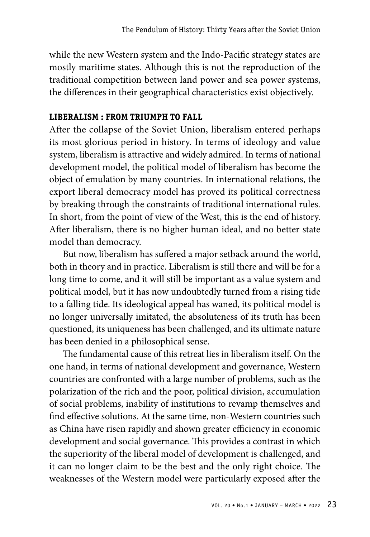while the new Western system and the Indo-Pacific strategy states are mostly maritime states. Although this is not the reproduction of the traditional competition between land power and sea power systems, the differences in their geographical characteristics exist objectively.

### **LIBERALISM : FROM TRIUMPH TO FALL**

After the collapse of the Soviet Union, liberalism entered perhaps its most glorious period in history. In terms of ideology and value system, liberalism is attractive and widely admired. In terms of national development model, the political model of liberalism has become the object of emulation by many countries. In international relations, the export liberal democracy model has proved its political correctness by breaking through the constraints of traditional international rules. In short, from the point of view of the West, this is the end of history. After liberalism, there is no higher human ideal, and no better state model than democracy.

But now, liberalism has suffered a major setback around the world, both in theory and in practice. Liberalism is still there and will be for a long time to come, and it will still be important as a value system and political model, but it has now undoubtedly turned from a rising tide to a falling tide. Its ideological appeal has waned, its political model is no longer universally imitated, the absoluteness of its truth has been questioned, its uniqueness has been challenged, and its ultimate nature has been denied in a philosophical sense.

The fundamental cause of this retreat lies in liberalism itself. On the one hand, in terms of national development and governance, Western countries are confronted with a large number of problems, such as the polarization of the rich and the poor, political division, accumulation of social problems, inability of institutions to revamp themselves and find effective solutions. At the same time, non-Western countries such as China have risen rapidly and shown greater efficiency in economic development and social governance. This provides a contrast in which the superiority of the liberal model of development is challenged, and it can no longer claim to be the best and the only right choice. The weaknesses of the Western model were particularly exposed after the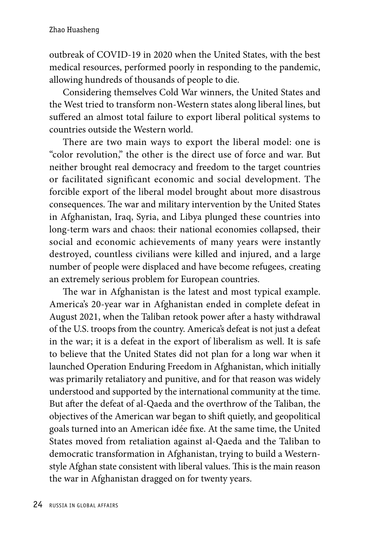outbreak of COVID-19 in 2020 when the United States, with the best medical resources, performed poorly in responding to the pandemic, allowing hundreds of thousands of people to die.

Considering themselves Cold War winners, the United States and the West tried to transform non-Western states along liberal lines, but suffered an almost total failure to export liberal political systems to countries outside the Western world.

There are two main ways to export the liberal model: one is "color revolution," the other is the direct use of force and war. But neither brought real democracy and freedom to the target countries or facilitated significant economic and social development. The forcible export of the liberal model brought about more disastrous consequences. The war and military intervention by the United States in Afghanistan, Iraq, Syria, and Libya plunged these countries into long-term wars and chaos: their national economies collapsed, their social and economic achievements of many years were instantly destroyed, countless civilians were killed and injured, and a large number of people were displaced and have become refugees, creating an extremely serious problem for European countries.

The war in Afghanistan is the latest and most typical example. America's 20-year war in Afghanistan ended in complete defeat in August 2021, when the Taliban retook power after a hasty withdrawal of the U.S. troops from the country. America's defeat is not just a defeat in the war; it is a defeat in the export of liberalism as well. It is safe to believe that the United States did not plan for a long war when it launched Operation Enduring Freedom in Afghanistan, which initially was primarily retaliatory and punitive, and for that reason was widely understood and supported by the international community at the time. But after the defeat of al-Qaeda and the overthrow of the Taliban, the objectives of the American war began to shift quietly, and geopolitical goals turned into an American idée fixe. At the same time, the United States moved from retaliation against al-Qaeda and the Taliban to democratic transformation in Afghanistan, trying to build a Westernstyle Afghan state consistent with liberal values. This is the main reason the war in Afghanistan dragged on for twenty years.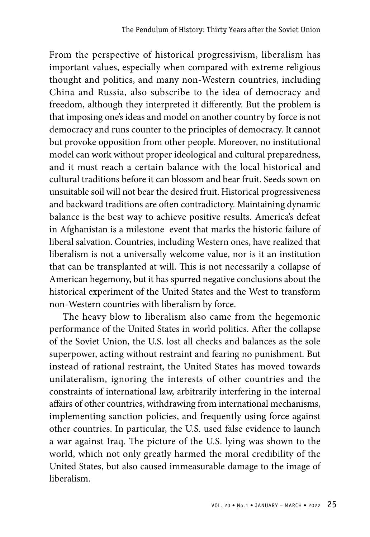From the perspective of historical progressivism, liberalism has important values, especially when compared with extreme religious thought and politics, and many non-Western countries, including China and Russia, also subscribe to the idea of democracy and freedom, although they interpreted it differently. But the problem is that imposing one's ideas and model on another country by force is not democracy and runs counter to the principles of democracy. It cannot but provoke opposition from other people. Moreover, no institutional model can work without proper ideological and cultural preparedness, and it must reach a certain balance with the local historical and cultural traditions before it can blossom and bear fruit. Seeds sown on unsuitable soil will not bear the desired fruit. Historical progressiveness and backward traditions are often contradictory. Maintaining dynamic balance is the best way to achieve positive results. America's defeat in Afghanistan is a milestone event that marks the historic failure of liberal salvation. Countries, including Western ones, have realized that liberalism is not a universally welcome value, nor is it an institution that can be transplanted at will. This is not necessarily a collapse of American hegemony, but it has spurred negative conclusions about the historical experiment of the United States and the West to transform non-Western countries with liberalism by force.

The heavy blow to liberalism also came from the hegemonic performance of the United States in world politics. After the collapse of the Soviet Union, the U.S. lost all checks and balances as the sole superpower, acting without restraint and fearing no punishment. But instead of rational restraint, the United States has moved towards unilateralism, ignoring the interests of other countries and the constraints of international law, arbitrarily interfering in the internal affairs of other countries, withdrawing from international mechanisms, implementing sanction policies, and frequently using force against other countries. In particular, the U.S. used false evidence to launch a war against Iraq. The picture of the U.S. lying was shown to the world, which not only greatly harmed the moral credibility of the United States, but also caused immeasurable damage to the image of liberalism.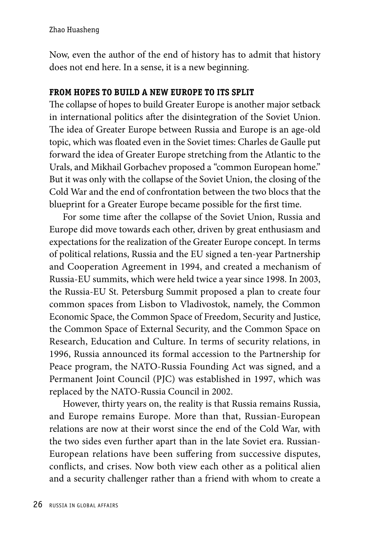Now, even the author of the end of history has to admit that history does not end here. In a sense, it is a new beginning.

# **FROM HOPES TO BUILD A NEW EUROPE TO ITS SPLIT**

The collapse of hopes to build Greater Europe is another major setback in international politics after the disintegration of the Soviet Union. The idea of Greater Europe between Russia and Europe is an age-old topic, which was floated even in the Soviet times: Charles de Gaulle put forward the idea of Greater Europe stretching from the Atlantic to the Urals, and Mikhail Gorbachev proposed a "common European home." But it was only with the collapse of the Soviet Union, the closing of the Cold War and the end of confrontation between the two blocs that the blueprint for a Greater Europe became possible for the first time.

For some time after the collapse of the Soviet Union, Russia and Europe did move towards each other, driven by great enthusiasm and expectations for the realization of the Greater Europe concept. In terms of political relations, Russia and the EU signed a ten-year Partnership and Cooperation Agreement in 1994, and created a mechanism of Russia-EU summits, which were held twice a year since 1998. In 2003, the Russia-EU St. Petersburg Summit proposed a plan to create four common spaces from Lisbon to Vladivostok, namely, the Common Economic Space, the Common Space of Freedom, Security and Justice, the Common Space of External Security, and the Common Space on Research, Education and Culture. In terms of security relations, in 1996, Russia announced its formal accession to the Partnership for Peace program, the NATO-Russia Founding Act was signed, and a Permanent Joint Council (PJC) was established in 1997, which was replaced by the NATO-Russia Council in 2002.

However, thirty years on, the reality is that Russia remains Russia, and Europe remains Europe. More than that, Russian-European relations are now at their worst since the end of the Cold War, with the two sides even further apart than in the late Soviet era. Russian-European relations have been suffering from successive disputes, conflicts, and crises. Now both view each other as a political alien and a security challenger rather than a friend with whom to create a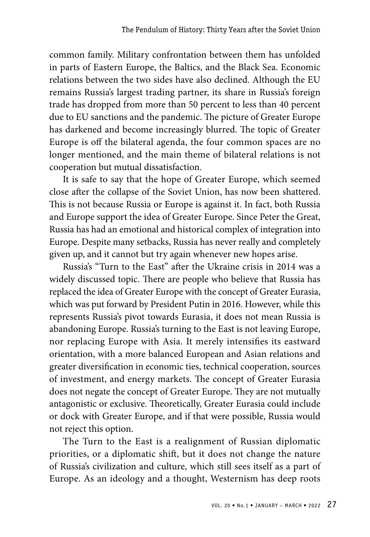common family. Military confrontation between them has unfolded in parts of Eastern Europe, the Baltics, and the Black Sea. Economic relations between the two sides have also declined. Although the EU remains Russia's largest trading partner, its share in Russia's foreign trade has dropped from more than 50 percent to less than 40 percent due to EU sanctions and the pandemic. The picture of Greater Europe has darkened and become increasingly blurred. The topic of Greater Europe is off the bilateral agenda, the four common spaces are no longer mentioned, and the main theme of bilateral relations is not cooperation but mutual dissatisfaction.

It is safe to say that the hope of Greater Europe, which seemed close after the collapse of the Soviet Union, has now been shattered. This is not because Russia or Europe is against it. In fact, both Russia and Europe support the idea of Greater Europe. Since Peter the Great, Russia has had an emotional and historical complex of integration into Europe. Despite many setbacks, Russia has never really and completely given up, and it cannot but try again whenever new hopes arise.

Russia's "Turn to the East" after the Ukraine crisis in 2014 was a widely discussed topic. There are people who believe that Russia has replaced the idea of Greater Europe with the concept of Greater Eurasia, which was put forward by President Putin in 2016. However, while this represents Russia's pivot towards Eurasia, it does not mean Russia is abandoning Europe. Russia's turning to the East is not leaving Europe, nor replacing Europe with Asia. It merely intensifies its eastward orientation, with a more balanced European and Asian relations and greater diversification in economic ties, technical cooperation, sources of investment, and energy markets. The concept of Greater Eurasia does not negate the concept of Greater Europe. They are not mutually antagonistic or exclusive. Theoretically, Greater Eurasia could include or dock with Greater Europe, and if that were possible, Russia would not reject this option.

The Turn to the East is a realignment of Russian diplomatic priorities, or a diplomatic shift, but it does not change the nature of Russia's civilization and culture, which still sees itself as a part of Europe. As an ideology and a thought, Westernism has deep roots